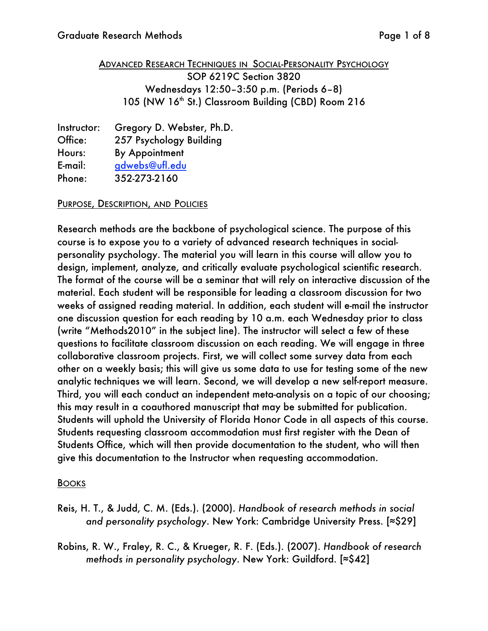# ADVANCED RESEARCH TECHNIQUES IN SOCIAL-PERSONALITY PSYCHOLOGY SOP 6219C Section 3820 Wednesdays 12:50–3:50 p.m. (Periods 6–8) 105 (NW 16<sup>th</sup> St.) Classroom Building (CBD) Room 216

| Instructor: | Gregory D. Webster, Ph.D. |
|-------------|---------------------------|
| Office:     | 257 Psychology Building   |
| Hours:      | <b>By Appointment</b>     |
| E-mail:     | gdwebs@ufl.edu            |
| Phone:      | 352-273-2160              |
|             |                           |

#### PURPOSE, DESCRIPTION, AND POLICIES

Research methods are the backbone of psychological science. The purpose of this course is to expose you to a variety of advanced research techniques in socialpersonality psychology. The material you will learn in this course will allow you to design, implement, analyze, and critically evaluate psychological scientific research. The format of the course will be a seminar that will rely on interactive discussion of the material. Each student will be responsible for leading a classroom discussion for two weeks of assigned reading material. In addition, each student will e-mail the instructor one discussion question for each reading by 10 a.m. each Wednesday prior to class (write "Methods2010" in the subject line). The instructor will select a few of these questions to facilitate classroom discussion on each reading. We will engage in three collaborative classroom projects. First, we will collect some survey data from each other on a weekly basis; this will give us some data to use for testing some of the new analytic techniques we will learn. Second, we will develop a new self-report measure. Third, you will each conduct an independent meta-analysis on a topic of our choosing; this may result in a coauthored manuscript that may be submitted for publication. Students will uphold the University of Florida Honor Code in all aspects of this course. Students requesting classroom accommodation must first register with the Dean of Students Office, which will then provide documentation to the student, who will then give this documentation to the Instructor when requesting accommodation.

#### **BOOKS**

- Reis, H. T., & Judd, C. M. (Eds.). (2000). *Handbook of research methods in social and personality psychology*. New York: Cambridge University Press. [≈\$29]
- Robins, R. W., Fraley, R. C., & Krueger, R. F. (Eds.). (2007). *Handbook of research methods in personality psychology*. New York: Guildford. [≈\$42]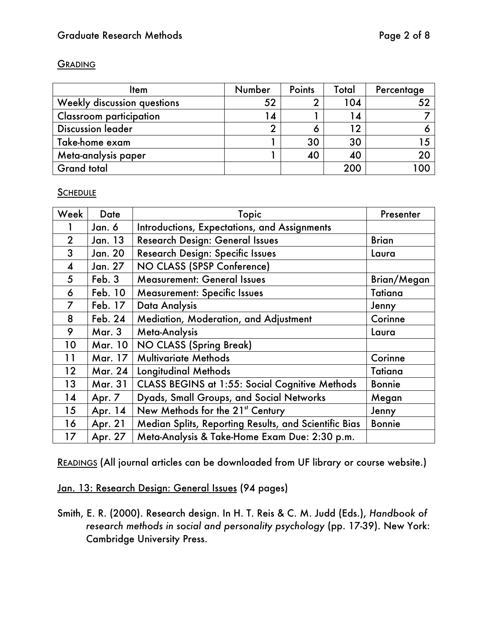### **GRADING**

| Item                           | Number | <b>Points</b> | Total          | Percentage |
|--------------------------------|--------|---------------|----------------|------------|
| Weekly discussion questions    | 52     |               | 104            |            |
| <b>Classroom participation</b> | 14     |               | <b>4</b>       |            |
| <b>Discussion leader</b>       |        |               | $\overline{2}$ |            |
| Take-home exam                 |        | 30            | 30             |            |
| Meta-analysis paper            |        | 40            | 40             | 20         |
| <b>Grand total</b>             |        |               | 200            | 10C        |

#### **SCHEDULE**

| Week           | <b>Date</b>    | <b>Topic</b>                                          | Presenter          |
|----------------|----------------|-------------------------------------------------------|--------------------|
|                | Jan. 6         | Introductions, Expectations, and Assignments          |                    |
| $\overline{2}$ | <b>Jan. 13</b> | <b>Research Design: General Issues</b>                | <b>Brian</b>       |
| 3              | <b>Jan. 20</b> | <b>Research Design: Specific Issues</b>               | Laura              |
| 4              | Jan. 27        | NO CLASS (SPSP Conference)                            |                    |
| 5              | Feb. 3         | <b>Measurement: General Issues</b>                    | <b>Brian/Megan</b> |
| 6              | Feb. 10        | <b>Measurement: Specific Issues</b>                   | Tatiana            |
| 7              | Feb. 17        | <b>Data Analysis</b>                                  | Jenny              |
| 8              | <b>Feb. 24</b> | Mediation, Moderation, and Adjustment                 | Corinne            |
| 9              | Mar. 3         | Meta-Analysis                                         | Laura              |
| 10             | <b>Mar. 10</b> | NO CLASS (Spring Break)                               |                    |
| 11             | Mar. 17        | <b>Multivariate Methods</b>                           | Corinne            |
| $12 \,$        | Mar. 24        | <b>Longitudinal Methods</b>                           | Tatiana            |
| 13             | <b>Mar. 31</b> | CLASS BEGINS at 1:55: Social Cognitive Methods        | <b>Bonnie</b>      |
| 14             | Apr. 7         | Dyads, Small Groups, and Social Networks              | Megan              |
| $15\,$         | Apr. 14        | New Methods for the 21st Century                      | Jenny              |
| 16             | Apr. 21        | Median Splits, Reporting Results, and Scientific Bias | <b>Bonnie</b>      |
| 17             | Apr. 27        | Meta-Analysis & Take-Home Exam Due: 2:30 p.m.         |                    |

READINGS (All journal articles can be downloaded from UF library or course website.)

Jan. 13: Research Design: General Issues (94 pages)

Smith, E. R. (2000). Research design. In H. T. Reis & C. M. Judd (Eds.), *Handbook of research methods in social and personality psychology* (pp. 17-39). New York: Cambridge University Press.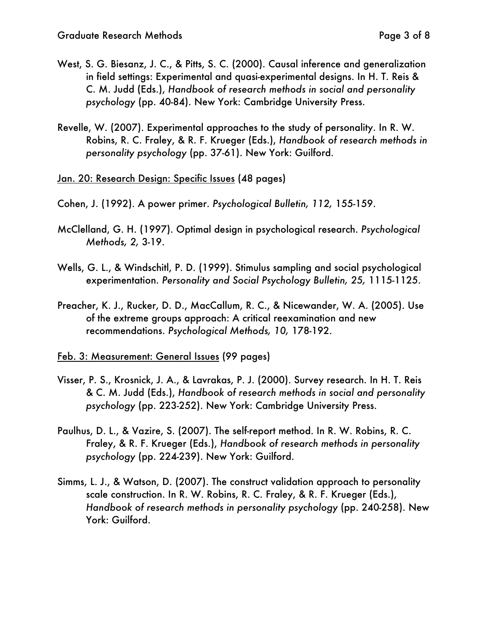- West, S. G. Biesanz, J. C., & Pitts, S. C. (2000). Causal inference and generalization in field settings: Experimental and quasi-experimental designs. In H. T. Reis & C. M. Judd (Eds.), *Handbook of research methods in social and personality psychology* (pp. 40-84). New York: Cambridge University Press.
- Revelle, W. (2007). Experimental approaches to the study of personality. In R. W. Robins, R. C. Fraley, & R. F. Krueger (Eds.), *Handbook of research methods in personality psychology* (pp. 37-61). New York: Guilford.

Jan. 20: Research Design: Specific Issues (48 pages)

Cohen, J. (1992). A power primer. *Psychological Bulletin, 112,* 155-159.

- McClelland, G. H. (1997). Optimal design in psychological research. *Psychological Methods, 2,* 3-19.
- Wells, G. L., & Windschitl, P. D. (1999). Stimulus sampling and social psychological experimentation. *Personality and Social Psychology Bulletin, 25,* 1115-1125.
- Preacher, K. J., Rucker, D. D., MacCallum, R. C., & Nicewander, W. A. (2005). Use of the extreme groups approach: A critical reexamination and new recommendations. *Psychological Methods, 10,* 178-192.

Feb. 3: Measurement: General Issues (99 pages)

- Visser, P. S., Krosnick, J. A., & Lavrakas, P. J. (2000). Survey research. In H. T. Reis & C. M. Judd (Eds.), *Handbook of research methods in social and personality psychology* (pp. 223-252). New York: Cambridge University Press.
- Paulhus, D. L., & Vazire, S. (2007). The self-report method. In R. W. Robins, R. C. Fraley, & R. F. Krueger (Eds.), *Handbook of research methods in personality psychology* (pp. 224-239). New York: Guilford.
- Simms, L. J., & Watson, D. (2007). The construct validation approach to personality scale construction. In R. W. Robins, R. C. Fraley, & R. F. Krueger (Eds.), *Handbook of research methods in personality psychology* (pp. 240-258). New York: Guilford.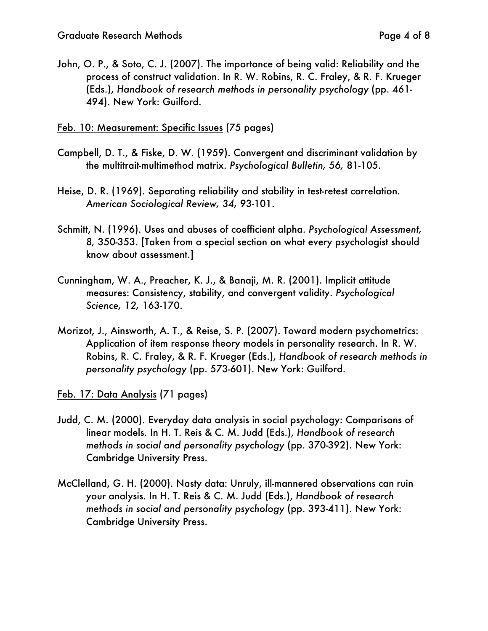John, O. P., & Soto, C. J. (2007). The importance of being valid: Reliability and the process of construct validation. In R. W. Robins, R. C. Fraley, & R. F. Krueger (Eds.), *Handbook of research methods in personality psychology* (pp. 461- 494). New York: Guilford.

Feb. 10: Measurement: Specific Issues (75 pages)

- Campbell, D. T., & Fiske, D. W. (1959). Convergent and discriminant validation by the multitrait-multimethod matrix. *Psychological Bulletin, 56,* 81-105.
- Heise, D. R. (1969). Separating reliability and stability in test-retest correlation. *American Sociological Review, 34,* 93-101.
- Schmitt, N. (1996). Uses and abuses of coefficient alpha. *Psychological Assessment, 8,* 350-353. [Taken from a special section on what every psychologist should know about assessment.]
- Cunningham, W. A., Preacher, K. J., & Banaji, M. R. (2001). Implicit attitude measures: Consistency, stability, and convergent validity. *Psychological Science, 12,* 163-170.
- Morizot, J., Ainsworth, A. T., & Reise, S. P. (2007). Toward modern psychometrics: Application of item response theory models in personality research. In R. W. Robins, R. C. Fraley, & R. F. Krueger (Eds.), *Handbook of research methods in personality psychology* (pp. 573-601). New York: Guilford.

Feb. 17: Data Analysis (71 pages)

- Judd, C. M. (2000). Everyday data analysis in social psychology: Comparisons of linear models. In H. T. Reis & C. M. Judd (Eds.), *Handbook of research methods in social and personality psychology* (pp. 370-392). New York: Cambridge University Press.
- McClelland, G. H. (2000). Nasty data: Unruly, ill-mannered observations can ruin your analysis. In H. T. Reis & C. M. Judd (Eds.), *Handbook of research methods in social and personality psychology* (pp. 393-411). New York: Cambridge University Press.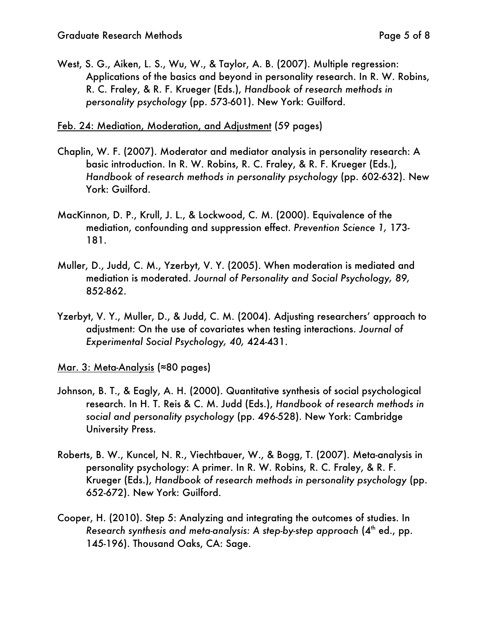West, S. G., Aiken, L. S., Wu, W., & Taylor, A. B. (2007). Multiple regression: Applications of the basics and beyond in personality research. In R. W. Robins, R. C. Fraley, & R. F. Krueger (Eds.), *Handbook of research methods in personality psychology* (pp. 573-601). New York: Guilford.

Feb. 24: Mediation, Moderation, and Adjustment (59 pages)

- Chaplin, W. F. (2007). Moderator and mediator analysis in personality research: A basic introduction. In R. W. Robins, R. C. Fraley, & R. F. Krueger (Eds.), *Handbook of research methods in personality psychology* (pp. 602-632). New York: Guilford.
- MacKinnon, D. P., Krull, J. L., & Lockwood, C. M. (2000). Equivalence of the mediation, confounding and suppression effect. *Prevention Science 1,* 173- 181.
- Muller, D., Judd, C. M., Yzerbyt, V. Y. (2005). When moderation is mediated and mediation is moderated. *Journal of Personality and Social Psychology, 89,* 852-862.
- Yzerbyt, V. Y., Muller, D., & Judd, C. M. (2004). Adjusting researchers' approach to adjustment: On the use of covariates when testing interactions. *Journal of Experimental Social Psychology, 40,* 424-431.

Mar. 3: Meta-Analysis (≈80 pages)

- Johnson, B. T., & Eagly, A. H. (2000). Quantitative synthesis of social psychological research. In H. T. Reis & C. M. Judd (Eds.), *Handbook of research methods in social and personality psychology* (pp. 496-528). New York: Cambridge University Press.
- Roberts, B. W., Kuncel, N. R., Viechtbauer, W., & Bogg, T. (2007). Meta-analysis in personality psychology: A primer. In R. W. Robins, R. C. Fraley, & R. F. Krueger (Eds.), *Handbook of research methods in personality psychology* (pp. 652-672). New York: Guilford.
- Cooper, H. (2010). Step 5: Analyzing and integrating the outcomes of studies. In *Research synthesis and meta-analysis: A step-by-step approach* (4<sup>th</sup> ed., pp. 145-196). Thousand Oaks, CA: Sage.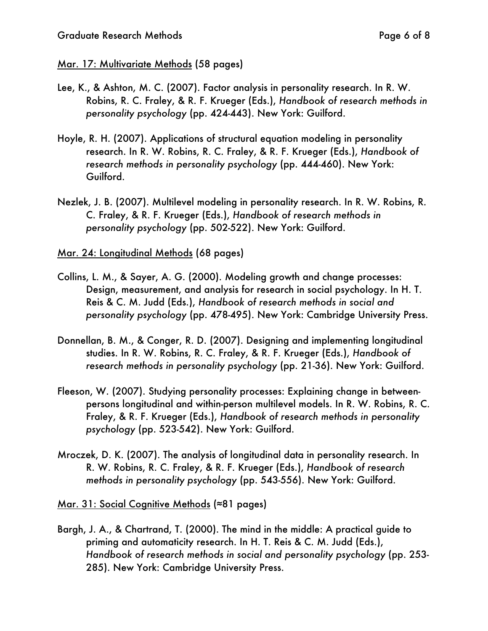## Mar. 17: Multivariate Methods (58 pages)

- Lee, K., & Ashton, M. C. (2007). Factor analysis in personality research. In R. W. Robins, R. C. Fraley, & R. F. Krueger (Eds.), *Handbook of research methods in personality psychology* (pp. 424-443). New York: Guilford.
- Hoyle, R. H. (2007). Applications of structural equation modeling in personality research. In R. W. Robins, R. C. Fraley, & R. F. Krueger (Eds.), *Handbook of research methods in personality psychology* (pp. 444-460). New York: Guilford.
- Nezlek, J. B. (2007). Multilevel modeling in personality research. In R. W. Robins, R. C. Fraley, & R. F. Krueger (Eds.), *Handbook of research methods in personality psychology* (pp. 502-522). New York: Guilford.

## Mar. 24: Longitudinal Methods (68 pages)

- Collins, L. M., & Sayer, A. G. (2000). Modeling growth and change processes: Design, measurement, and analysis for research in social psychology. In H. T. Reis & C. M. Judd (Eds.), *Handbook of research methods in social and personality psychology* (pp. 478-495). New York: Cambridge University Press.
- Donnellan, B. M., & Conger, R. D. (2007). Designing and implementing longitudinal studies. In R. W. Robins, R. C. Fraley, & R. F. Krueger (Eds.), *Handbook of research methods in personality psychology* (pp. 21-36). New York: Guilford.
- Fleeson, W. (2007). Studying personality processes: Explaining change in betweenpersons longitudinal and within-person multilevel models. In R. W. Robins, R. C. Fraley, & R. F. Krueger (Eds.), *Handbook of research methods in personality psychology* (pp. 523-542). New York: Guilford.
- Mroczek, D. K. (2007). The analysis of longitudinal data in personality research. In R. W. Robins, R. C. Fraley, & R. F. Krueger (Eds.), *Handbook of research methods in personality psychology* (pp. 543-556). New York: Guilford.

## Mar. 31: Social Cognitive Methods (≈81 pages)

Bargh, J. A., & Chartrand, T. (2000). The mind in the middle: A practical guide to priming and automaticity research. In H. T. Reis & C. M. Judd (Eds.), *Handbook of research methods in social and personality psychology* (pp. 253- 285). New York: Cambridge University Press.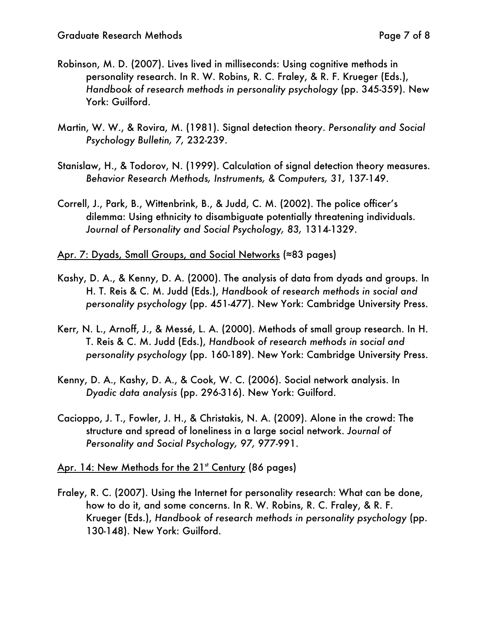- Robinson, M. D. (2007). Lives lived in milliseconds: Using cognitive methods in personality research. In R. W. Robins, R. C. Fraley, & R. F. Krueger (Eds.), *Handbook of research methods in personality psychology* (pp. 345-359). New York: Guilford.
- Martin, W. W., & Rovira, M. (1981). Signal detection theory. *Personality and Social Psychology Bulletin, 7,* 232-239.
- Stanislaw, H., & Todorov, N. (1999). Calculation of signal detection theory measures. *Behavior Research Methods, Instruments, & Computers, 31,* 137-149.
- Correll, J., Park, B., Wittenbrink, B., & Judd, C. M. (2002). The police officer's dilemma: Using ethnicity to disambiguate potentially threatening individuals. *Journal of Personality and Social Psychology, 83,* 1314-1329.

#### Apr. 7: Dyads, Small Groups, and Social Networks (≈83 pages)

- Kashy, D. A., & Kenny, D. A. (2000). The analysis of data from dyads and groups. In H. T. Reis & C. M. Judd (Eds.), *Handbook of research methods in social and personality psychology* (pp. 451-477). New York: Cambridge University Press.
- Kerr, N. L., Arnoff, J., & Messé, L. A. (2000). Methods of small group research. In H. T. Reis & C. M. Judd (Eds.), *Handbook of research methods in social and personality psychology* (pp. 160-189). New York: Cambridge University Press.
- Kenny, D. A., Kashy, D. A., & Cook, W. C. (2006). Social network analysis. In *Dyadic data analysis* (pp. 296-316). New York: Guilford.
- Cacioppo, J. T., Fowler, J. H., & Christakis, N. A. (2009). Alone in the crowd: The structure and spread of loneliness in a large social network. *Journal of Personality and Social Psychology, 97,* 977-991.

## Apr. 14: New Methods for the  $21<sup>st</sup>$  Century (86 pages)

Fraley, R. C. (2007). Using the Internet for personality research: What can be done, how to do it, and some concerns. In R. W. Robins, R. C. Fraley, & R. F. Krueger (Eds.), *Handbook of research methods in personality psychology* (pp. 130-148). New York: Guilford.